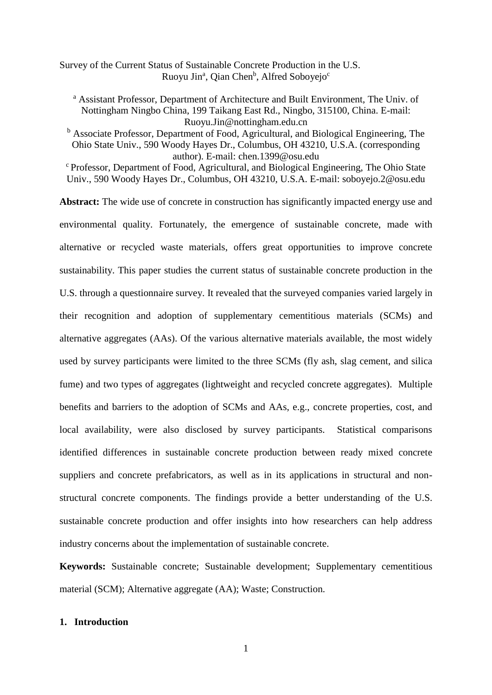Survey of the Current Status of Sustainable Concrete Production in the U.S. Ruoyu Jin<sup>a</sup>, Qian Chen<sup>b</sup>, Alfred Soboyejo<sup>c</sup>

- <sup>a</sup> Assistant Professor, Department of Architecture and Built Environment, The Univ. of Nottingham Ningbo China, 199 Taikang East Rd., Ningbo, 315100, China. E-mail: Ruoyu.Jin@nottingham.edu.cn
- <sup>b</sup> Associate Professor, Department of Food, Agricultural, and Biological Engineering, The Ohio State Univ., 590 Woody Hayes Dr., Columbus, OH 43210, U.S.A. (corresponding author). E-mail: chen.1399@osu.edu

<sup>c</sup> Professor, Department of Food, Agricultural, and Biological Engineering, The Ohio State Univ., 590 Woody Hayes Dr., Columbus, OH 43210, U.S.A. E-mail: soboyejo.2@osu.edu

Abstract: The wide use of concrete in construction has significantly impacted energy use and environmental quality. Fortunately, the emergence of sustainable concrete, made with alternative or recycled waste materials, offers great opportunities to improve concrete sustainability. This paper studies the current status of sustainable concrete production in the U.S. through a questionnaire survey. It revealed that the surveyed companies varied largely in their recognition and adoption of supplementary cementitious materials (SCMs) and alternative aggregates (AAs). Of the various alternative materials available, the most widely used by survey participants were limited to the three SCMs (fly ash, slag cement, and silica fume) and two types of aggregates (lightweight and recycled concrete aggregates). Multiple benefits and barriers to the adoption of SCMs and AAs, e.g., concrete properties, cost, and local availability, were also disclosed by survey participants. Statistical comparisons identified differences in sustainable concrete production between ready mixed concrete suppliers and concrete prefabricators, as well as in its applications in structural and nonstructural concrete components. The findings provide a better understanding of the U.S. sustainable concrete production and offer insights into how researchers can help address industry concerns about the implementation of sustainable concrete.

**Keywords:** Sustainable concrete; Sustainable development; Supplementary cementitious material (SCM); Alternative aggregate (AA); Waste; Construction.

# **1. Introduction**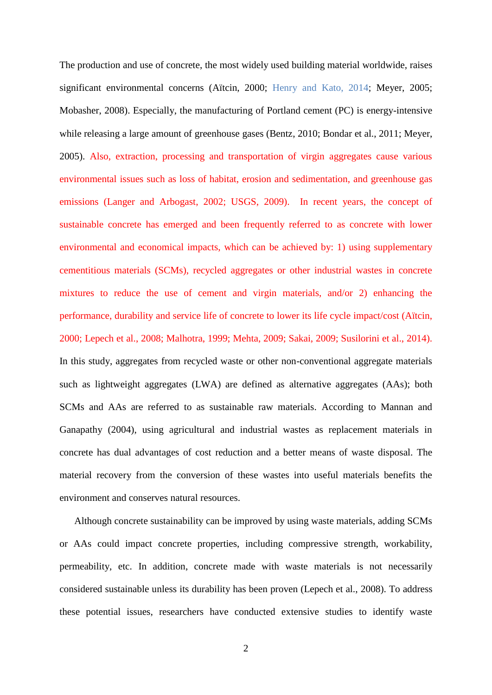The production and use of concrete, the most widely used building material worldwide, raises significant environmental concerns (Aïtcin, 2000; Henry and Kato, 2014; Meyer, 2005; Mobasher, 2008). Especially, the manufacturing of Portland cement (PC) is energy-intensive while releasing a large amount of greenhouse gases (Bentz, 2010; Bondar et al., 2011; Meyer, 2005). Also, extraction, processing and transportation of virgin aggregates cause various environmental issues such as loss of habitat, erosion and sedimentation, and greenhouse gas emissions (Langer and Arbogast, 2002; USGS, 2009). In recent years, the concept of sustainable concrete has emerged and been frequently referred to as concrete with lower environmental and economical impacts, which can be achieved by: 1) using supplementary cementitious materials (SCMs), recycled aggregates or other industrial wastes in concrete mixtures to reduce the use of cement and virgin materials, and/or 2) enhancing the performance, durability and service life of concrete to lower its life cycle impact/cost (Aïtcin, 2000; Lepech et al., 2008; Malhotra, 1999; Mehta, 2009; Sakai, 2009; Susilorini et al., 2014). In this study, aggregates from recycled waste or other non-conventional aggregate materials such as lightweight aggregates (LWA) are defined as alternative aggregates (AAs); both SCMs and AAs are referred to as sustainable raw materials. According to Mannan and Ganapathy (2004), using agricultural and industrial wastes as replacement materials in concrete has dual advantages of cost reduction and a better means of waste disposal. The material recovery from the conversion of these wastes into useful materials benefits the environment and conserves natural resources.

Although concrete sustainability can be improved by using waste materials, adding SCMs or AAs could impact concrete properties, including compressive strength, workability, permeability, etc. In addition, concrete made with waste materials is not necessarily considered sustainable unless its durability has been proven (Lepech et al., 2008). To address these potential issues, researchers have conducted extensive studies to identify waste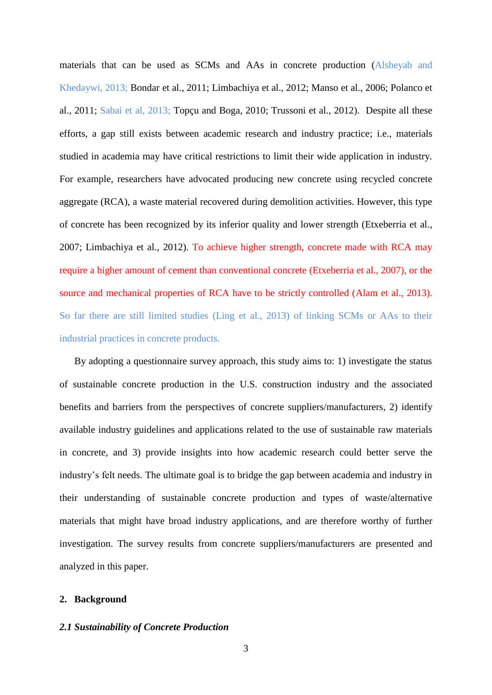materials that can be used as SCMs and AAs in concrete production (Alsheyab and Khedaywi, 2013; Bondar et al., 2011; Limbachiya et al., 2012; Manso et al., 2006; Polanco et al., 2011; Sabai et al, 2013; Topçu and Boga, 2010; Trussoni et al., 2012). Despite all these efforts, a gap still exists between academic research and industry practice; i.e., materials studied in academia may have critical restrictions to limit their wide application in industry. For example, researchers have advocated producing new concrete using recycled concrete aggregate (RCA), a waste material recovered during demolition activities. However, this type of concrete has been recognized by its inferior quality and lower strength (Etxeberria et al., 2007; Limbachiya et al., 2012). To achieve higher strength, concrete made with RCA may require a higher amount of cement than conventional concrete (Etxeberria et al., 2007), or the source and mechanical properties of RCA have to be strictly controlled (Alam et al., 2013). So far there are still limited studies (Ling et al., 2013) of linking SCMs or AAs to their industrial practices in concrete products.

By adopting a questionnaire survey approach, this study aims to: 1) investigate the status of sustainable concrete production in the U.S. construction industry and the associated benefits and barriers from the perspectives of concrete suppliers/manufacturers, 2) identify available industry guidelines and applications related to the use of sustainable raw materials in concrete, and 3) provide insights into how academic research could better serve the industry's felt needs. The ultimate goal is to bridge the gap between academia and industry in their understanding of sustainable concrete production and types of waste/alternative materials that might have broad industry applications, and are therefore worthy of further investigation. The survey results from concrete suppliers/manufacturers are presented and analyzed in this paper.

## **2. Background**

## *2.1 Sustainability of Concrete Production*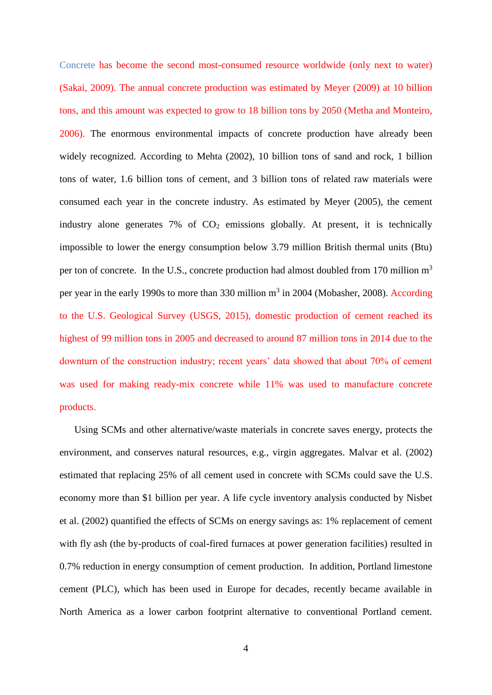Concrete has become the second most-consumed resource worldwide (only next to water) (Sakai, 2009). The annual concrete production was estimated by Meyer (2009) at 10 billion tons, and this amount was expected to grow to 18 billion tons by 2050 (Metha and Monteiro, 2006). The enormous environmental impacts of concrete production have already been widely recognized. According to Mehta (2002), 10 billion tons of sand and rock, 1 billion tons of water, 1.6 billion tons of cement, and 3 billion tons of related raw materials were consumed each year in the concrete industry. As estimated by Meyer (2005), the cement industry alone generates  $7\%$  of  $CO<sub>2</sub>$  emissions globally. At present, it is technically impossible to lower the energy consumption below 3.79 million British thermal units (Btu) per ton of concrete. In the U.S., concrete production had almost doubled from 170 million  $m<sup>3</sup>$ per year in the early 1990s to more than 330 million m<sup>3</sup> in 2004 (Mobasher, 2008). According to the U.S. Geological Survey (USGS, 2015), domestic production of cement reached its highest of 99 million tons in 2005 and decreased to around 87 million tons in 2014 due to the downturn of the construction industry; recent years' data showed that about 70% of cement was used for making ready-mix concrete while 11% was used to manufacture concrete products.

Using SCMs and other alternative/waste materials in concrete saves energy, protects the environment, and conserves natural resources, e.g., virgin aggregates. Malvar et al. (2002) estimated that replacing 25% of all cement used in concrete with SCMs could save the U.S. economy more than \$1 billion per year. A life cycle inventory analysis conducted by Nisbet et al. (2002) quantified the effects of SCMs on energy savings as: 1% replacement of cement with fly ash (the by-products of coal-fired furnaces at power generation facilities) resulted in 0.7% reduction in energy consumption of cement production. In addition, Portland limestone cement (PLC), which has been used in Europe for decades, recently became available in North America as a lower carbon footprint alternative to conventional Portland cement.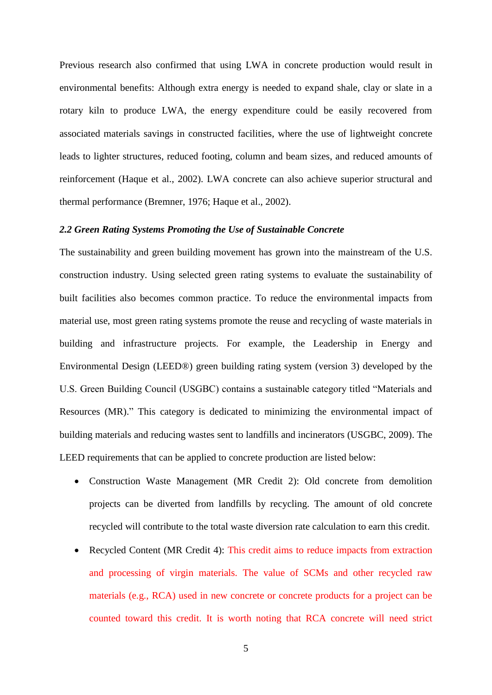Previous research also confirmed that using LWA in concrete production would result in environmental benefits: Although extra energy is needed to expand shale, clay or slate in a rotary kiln to produce LWA, the energy expenditure could be easily recovered from associated materials savings in constructed facilities, where the use of lightweight concrete leads to lighter structures, reduced footing, column and beam sizes, and reduced amounts of reinforcement (Haque et al., 2002). LWA concrete can also achieve superior structural and thermal performance (Bremner, 1976; Haque et al., 2002).

## *2.2 Green Rating Systems Promoting the Use of Sustainable Concrete*

The sustainability and green building movement has grown into the mainstream of the U.S. construction industry. Using selected green rating systems to evaluate the sustainability of built facilities also becomes common practice. To reduce the environmental impacts from material use, most green rating systems promote the reuse and recycling of waste materials in building and infrastructure projects. For example, the Leadership in Energy and Environmental Design (LEED®) green building rating system (version 3) developed by the U.S. Green Building Council (USGBC) contains a sustainable category titled "Materials and Resources (MR)." This category is dedicated to minimizing the environmental impact of building materials and reducing wastes sent to landfills and incinerators (USGBC, 2009). The LEED requirements that can be applied to concrete production are listed below:

- Construction Waste Management (MR Credit 2): Old concrete from demolition projects can be diverted from landfills by recycling. The amount of old concrete recycled will contribute to the total waste diversion rate calculation to earn this credit.
- Recycled Content (MR Credit 4): This credit aims to reduce impacts from extraction and processing of virgin materials. The value of SCMs and other recycled raw materials (e.g., RCA) used in new concrete or concrete products for a project can be counted toward this credit. It is worth noting that RCA concrete will need strict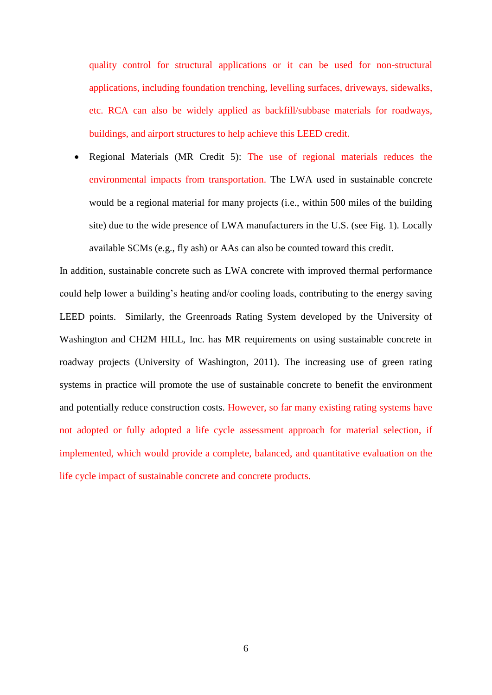quality control for structural applications or it can be used for non-structural applications, including foundation trenching, levelling surfaces, driveways, sidewalks, etc. RCA can also be widely applied as backfill/subbase materials for roadways, buildings, and airport structures to help achieve this LEED credit.

 Regional Materials (MR Credit 5): The use of regional materials reduces the environmental impacts from transportation. The LWA used in sustainable concrete would be a regional material for many projects (i.e., within 500 miles of the building site) due to the wide presence of LWA manufacturers in the U.S. (see Fig. 1). Locally available SCMs (e.g., fly ash) or AAs can also be counted toward this credit.

In addition, sustainable concrete such as LWA concrete with improved thermal performance could help lower a building's heating and/or cooling loads, contributing to the energy saving LEED points. Similarly, the Greenroads Rating System developed by the University of Washington and CH2M HILL, Inc. has MR requirements on using sustainable concrete in roadway projects (University of Washington, 2011). The increasing use of green rating systems in practice will promote the use of sustainable concrete to benefit the environment and potentially reduce construction costs. However, so far many existing rating systems have not adopted or fully adopted a life cycle assessment approach for material selection, if implemented, which would provide a complete, balanced, and quantitative evaluation on the life cycle impact of sustainable concrete and concrete products.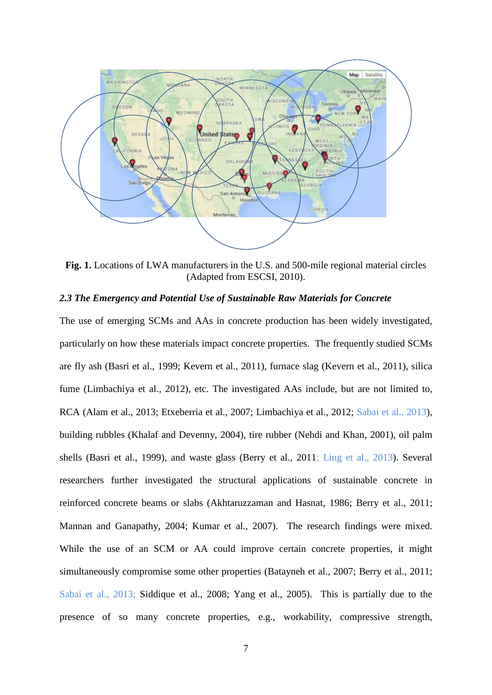

**Fig. 1.** Locations of LWA manufacturers in the U.S. and 500-mile regional material circles (Adapted from ESCSI, 2010).

## *2.3 The Emergency and Potential Use of Sustainable Raw Materials for Concrete*

The use of emerging SCMs and AAs in concrete production has been widely investigated, particularly on how these materials impact concrete properties. The frequently studied SCMs are fly ash (Basri et al., 1999; Kevern et al., 2011), furnace slag (Kevern et al., 2011), silica fume (Limbachiya et al., 2012), etc. The investigated AAs include, but are not limited to, RCA (Alam et al., 2013; Etxeberria et al., 2007; Limbachiya et al., 2012; Sabai et al., 2013), building rubbles (Khalaf and Devenny, 2004), tire rubber (Nehdi and Khan, 2001), oil palm shells (Basri et al., 1999), and waste glass (Berry et al., 2011; Ling et al., 2013). Several researchers further investigated the structural applications of sustainable concrete in reinforced concrete beams or slabs (Akhtaruzzaman and Hasnat, 1986; Berry et al., 2011; Mannan and Ganapathy, 2004; Kumar et al., 2007). The research findings were mixed. While the use of an SCM or AA could improve certain concrete properties, it might simultaneously compromise some other properties (Batayneh et al., 2007; Berry et al., 2011; [Sabai et al., 2013;](#page-30-0) Siddique et al., 2008; Yang et al., 2005). This is partially due to the presence of so many concrete properties, e.g., workability, compressive strength,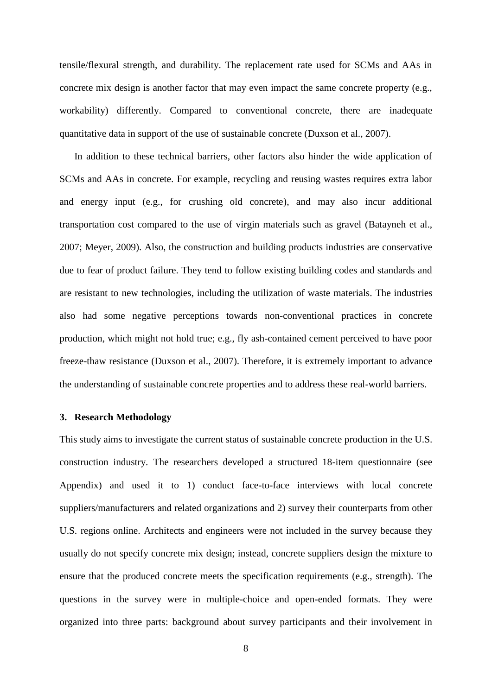tensile/flexural strength, and durability. The replacement rate used for SCMs and AAs in concrete mix design is another factor that may even impact the same concrete property (e.g., workability) differently. Compared to conventional concrete, there are inadequate quantitative data in support of the use of sustainable concrete (Duxson et al., 2007).

In addition to these technical barriers, other factors also hinder the wide application of SCMs and AAs in concrete. For example, recycling and reusing wastes requires extra labor and energy input (e.g., for crushing old concrete), and may also incur additional transportation cost compared to the use of virgin materials such as gravel (Batayneh et al., 2007; Meyer, 2009). Also, the construction and building products industries are conservative due to fear of product failure. They tend to follow existing building codes and standards and are resistant to new technologies, including the utilization of waste materials. The industries also had some negative perceptions towards non-conventional practices in concrete production, which might not hold true; e.g., fly ash-contained cement perceived to have poor freeze-thaw resistance (Duxson et al., 2007). Therefore, it is extremely important to advance the understanding of sustainable concrete properties and to address these real-world barriers.

#### **3. Research Methodology**

This study aims to investigate the current status of sustainable concrete production in the U.S. construction industry. The researchers developed a structured 18-item questionnaire (see Appendix) and used it to 1) conduct face-to-face interviews with local concrete suppliers/manufacturers and related organizations and 2) survey their counterparts from other U.S. regions online. Architects and engineers were not included in the survey because they usually do not specify concrete mix design; instead, concrete suppliers design the mixture to ensure that the produced concrete meets the specification requirements (e.g., strength). The questions in the survey were in multiple-choice and open-ended formats. They were organized into three parts: background about survey participants and their involvement in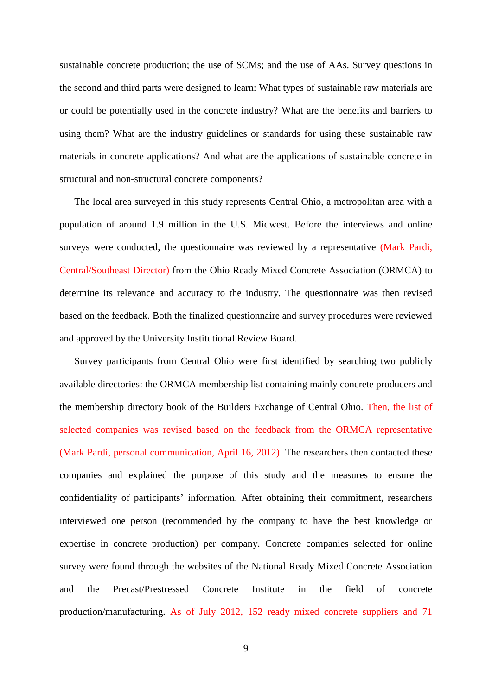sustainable concrete production; the use of SCMs; and the use of AAs. Survey questions in the second and third parts were designed to learn: What types of sustainable raw materials are or could be potentially used in the concrete industry? What are the benefits and barriers to using them? What are the industry guidelines or standards for using these sustainable raw materials in concrete applications? And what are the applications of sustainable concrete in structural and non-structural concrete components?

The local area surveyed in this study represents Central Ohio, a metropolitan area with a population of around 1.9 million in the U.S. Midwest. Before the interviews and online surveys were conducted, the questionnaire was reviewed by a representative (Mark Pardi, Central/Southeast Director) from the Ohio Ready Mixed Concrete Association (ORMCA) to determine its relevance and accuracy to the industry. The questionnaire was then revised based on the feedback. Both the finalized questionnaire and survey procedures were reviewed and approved by the University Institutional Review Board.

Survey participants from Central Ohio were first identified by searching two publicly available directories: the ORMCA membership list containing mainly concrete producers and the membership directory book of the Builders Exchange of Central Ohio. Then, the list of selected companies was revised based on the feedback from the ORMCA representative (Mark Pardi, personal communication, April 16, 2012). The researchers then contacted these companies and explained the purpose of this study and the measures to ensure the confidentiality of participants' information. After obtaining their commitment, researchers interviewed one person (recommended by the company to have the best knowledge or expertise in concrete production) per company. Concrete companies selected for online survey were found through the websites of the National Ready Mixed Concrete Association and the Precast/Prestressed Concrete Institute in the field of concrete production/manufacturing. As of July 2012, 152 ready mixed concrete suppliers and 71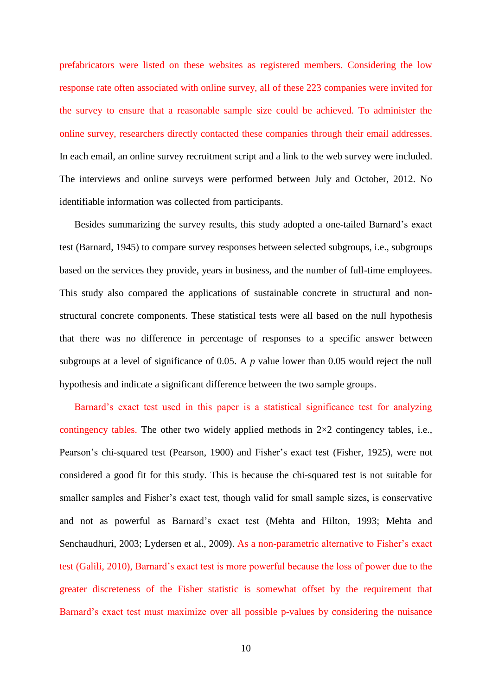prefabricators were listed on these websites as registered members. Considering the low response rate often associated with online survey, all of these 223 companies were invited for the survey to ensure that a reasonable sample size could be achieved. To administer the online survey, researchers directly contacted these companies through their email addresses. In each email, an online survey recruitment script and a link to the web survey were included. The interviews and online surveys were performed between July and October, 2012. No identifiable information was collected from participants.

Besides summarizing the survey results, this study adopted a one-tailed Barnard's exact test (Barnard, 1945) to compare survey responses between selected subgroups, i.e., subgroups based on the services they provide, years in business, and the number of full-time employees. This study also compared the applications of sustainable concrete in structural and nonstructural concrete components. These statistical tests were all based on the null hypothesis that there was no difference in percentage of responses to a specific answer between subgroups at a level of significance of 0.05. A *p* value lower than 0.05 would reject the null hypothesis and indicate a significant difference between the two sample groups.

Barnard's exact test used in this paper is a statistical significance test for analyzing contingency tables. The other two widely applied methods in  $2\times 2$  contingency tables, i.e., Pearson's chi-squared test (Pearson, 1900) and Fisher's exact test (Fisher, 1925), were not considered a good fit for this study. This is because the chi-squared test is not suitable for smaller samples and Fisher's exact test, though valid for small sample sizes, is conservative and not as powerful as Barnard's exact test (Mehta and Hilton, 1993; Mehta and Senchaudhuri, 2003; Lydersen et al., 2009). As a non-parametric alternative to Fisher's exact test (Galili, 2010), Barnard's exact test is more powerful because the loss of power due to the greater discreteness of the Fisher statistic is somewhat offset by the requirement that Barnard's exact test must maximize over all possible p-values by considering the nuisance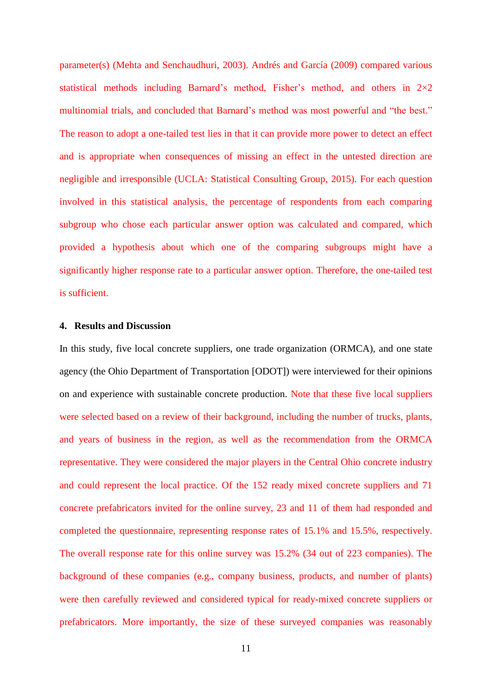parameter(s) (Mehta and Senchaudhuri, 2003). Andrés and García (2009) compared various statistical methods including Barnard's method, Fisher's method, and others in  $2\times2$ multinomial trials, and concluded that Barnard's method was most powerful and "the best." The reason to adopt a one-tailed test lies in that it can provide more power to detect an effect and is appropriate when consequences of missing an effect in the untested direction are negligible and irresponsible (UCLA: Statistical Consulting Group, 2015). For each question involved in this statistical analysis, the percentage of respondents from each comparing subgroup who chose each particular answer option was calculated and compared, which provided a hypothesis about which one of the comparing subgroups might have a significantly higher response rate to a particular answer option. Therefore, the one-tailed test is sufficient.

## **4. Results and Discussion**

In this study, five local concrete suppliers, one trade organization (ORMCA), and one state agency (the Ohio Department of Transportation [ODOT]) were interviewed for their opinions on and experience with sustainable concrete production. Note that these five local suppliers were selected based on a review of their background, including the number of trucks, plants, and years of business in the region, as well as the recommendation from the ORMCA representative. They were considered the major players in the Central Ohio concrete industry and could represent the local practice. Of the 152 ready mixed concrete suppliers and 71 concrete prefabricators invited for the online survey, 23 and 11 of them had responded and completed the questionnaire, representing response rates of 15.1% and 15.5%, respectively. The overall response rate for this online survey was 15.2% (34 out of 223 companies). The background of these companies (e.g., company business, products, and number of plants) were then carefully reviewed and considered typical for ready-mixed concrete suppliers or prefabricators. More importantly, the size of these surveyed companies was reasonably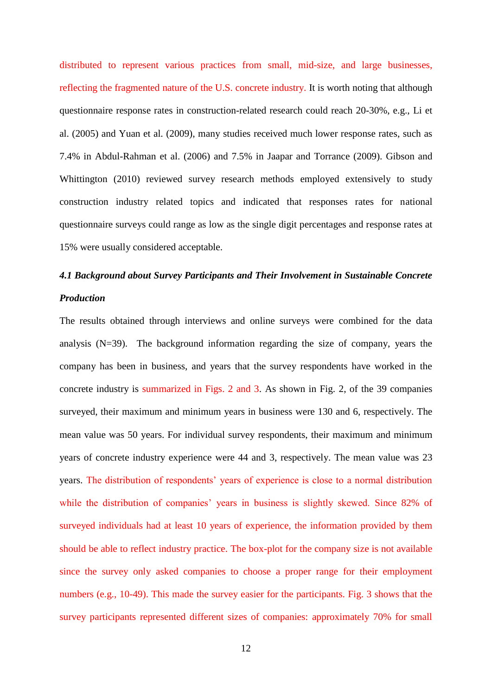distributed to represent various practices from small, mid-size, and large businesses, reflecting the fragmented nature of the U.S. concrete industry. It is worth noting that although questionnaire response rates in construction-related research could reach 20-30%, e.g., Li et al. (2005) and Yuan et al. (2009), many studies received much lower response rates, such as 7.4% in Abdul-Rahman et al. (2006) and 7.5% in Jaapar and Torrance (2009). Gibson and Whittington (2010) reviewed survey research methods employed extensively to study construction industry related topics and indicated that responses rates for national questionnaire surveys could range as low as the single digit percentages and response rates at 15% were usually considered acceptable.

# *4.1 Background about Survey Participants and Their Involvement in Sustainable Concrete Production*

The results obtained through interviews and online surveys were combined for the data analysis (N=39). The background information regarding the size of company, years the company has been in business, and years that the survey respondents have worked in the concrete industry is summarized in Figs. 2 and 3. As shown in Fig. 2, of the 39 companies surveyed, their maximum and minimum years in business were 130 and 6, respectively. The mean value was 50 years. For individual survey respondents, their maximum and minimum years of concrete industry experience were 44 and 3, respectively. The mean value was 23 years. The distribution of respondents' years of experience is close to a normal distribution while the distribution of companies' years in business is slightly skewed. Since 82% of surveyed individuals had at least 10 years of experience, the information provided by them should be able to reflect industry practice. The box-plot for the company size is not available since the survey only asked companies to choose a proper range for their employment numbers (e.g., 10-49). This made the survey easier for the participants. Fig. 3 shows that the survey participants represented different sizes of companies: approximately 70% for small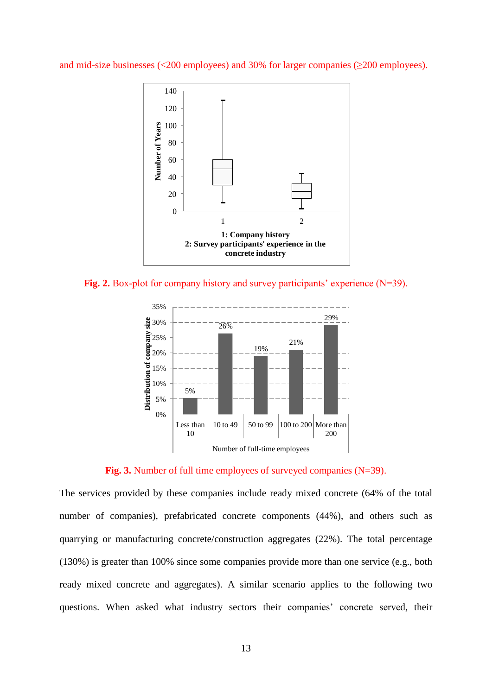and mid-size businesses ( $\langle 200 \text{ employees} \rangle$  and 30% for larger companies ( $\geq 200 \text{ employees}$ ).



**Fig. 2.** Box-plot for company history and survey participants' experience (N=39).





The services provided by these companies include ready mixed concrete (64% of the total number of companies), prefabricated concrete components (44%), and others such as quarrying or manufacturing concrete/construction aggregates (22%). The total percentage (130%) is greater than 100% since some companies provide more than one service (e.g., both ready mixed concrete and aggregates). A similar scenario applies to the following two questions. When asked what industry sectors their companies' concrete served, their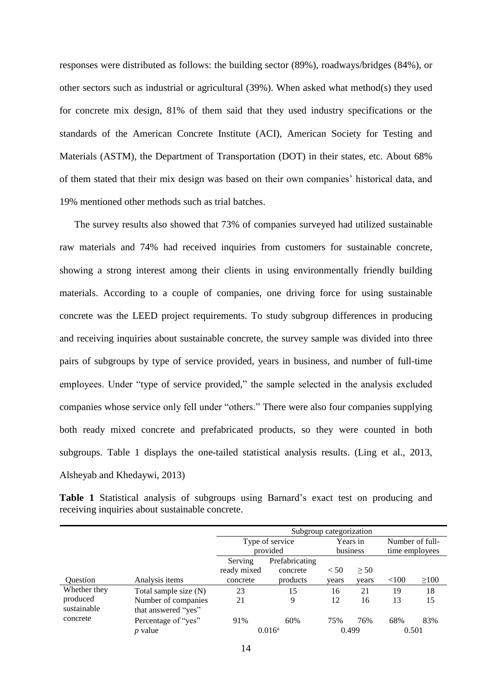responses were distributed as follows: the building sector (89%), roadways/bridges (84%), or other sectors such as industrial or agricultural (39%). When asked what method(s) they used for concrete mix design, 81% of them said that they used industry specifications or the standards of the American Concrete Institute (ACI), American Society for Testing and Materials (ASTM), the Department of Transportation (DOT) in their states, etc. About 68% of them stated that their mix design was based on their own companies' historical data, and 19% mentioned other methods such as trial batches.

The survey results also showed that 73% of companies surveyed had utilized sustainable raw materials and 74% had received inquiries from customers for sustainable concrete, showing a strong interest among their clients in using environmentally friendly building materials. According to a couple of companies, one driving force for using sustainable concrete was the LEED project requirements. To study subgroup differences in producing and receiving inquiries about sustainable concrete, the survey sample was divided into three pairs of subgroups by type of service provided, years in business, and number of full-time employees. Under "type of service provided," the sample selected in the analysis excluded companies whose service only fell under "others." There were also four companies supplying both ready mixed concrete and prefabricated products, so they were counted in both subgroups. Table 1 displays the one-tailed statistical analysis results. (Ling et al., 2013, Alsheyab and Khedaywi, 2013)

**Table 1** Statistical analysis of subgroups using Barnard's exact test on producing and receiving inquiries about sustainable concrete.

|                 | Subgroup categorization |                 |                 |       |           |                 |                |
|-----------------|-------------------------|-----------------|-----------------|-------|-----------|-----------------|----------------|
|                 |                         |                 | Type of service |       | Years in  | Number of full- |                |
|                 |                         |                 | provided        |       | business  |                 | time employees |
|                 |                         | Serving         | Prefabricating  |       |           |                 |                |
|                 |                         | ready mixed     | concrete        | < 50  | $\geq$ 50 |                 |                |
| <b>Ouestion</b> | Analysis items          | concrete        | products        | years | years     | $<$ 100         | $\geq 100$     |
| Whether they    | Total sample size (N)   | 23              | 15              | 16    | 21        | 19              | 18             |
| produced        | Number of companies     | 21              | 9               | 12    | 16        | 13              | 15             |
| sustainable     | that answered "yes"     |                 |                 |       |           |                 |                |
| concrete        | Percentage of "yes"     | 91%             | 60%             | 75%   | 76%       | 68%             | 83%            |
|                 | $p$ value               | $0.016^{\rm a}$ |                 | 0.499 |           | 0.501           |                |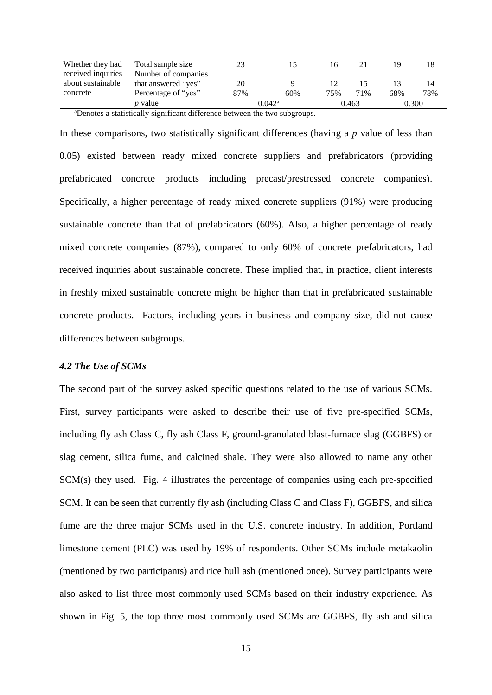| Whether they had   | Total sample size   | 23        |     | I6. |       | 19  | 18    |
|--------------------|---------------------|-----------|-----|-----|-------|-----|-------|
| received inquiries | Number of companies |           |     |     |       |     |       |
| about sustainable  | that answered "yes" | 20        |     |     |       |     | 14    |
| concrete           | Percentage of "yes" | 87%       | 60% | 75% | 71%   | 68% | 78%   |
|                    | <i>p</i> value      | $0.042^a$ |     |     | 0.463 |     | 0.300 |

<sup>a</sup>Denotes a statistically significant difference between the two subgroups.

In these comparisons, two statistically significant differences (having a *p* value of less than 0.05) existed between ready mixed concrete suppliers and prefabricators (providing prefabricated concrete products including precast/prestressed concrete companies). Specifically, a higher percentage of ready mixed concrete suppliers (91%) were producing sustainable concrete than that of prefabricators (60%). Also, a higher percentage of ready mixed concrete companies (87%), compared to only 60% of concrete prefabricators, had received inquiries about sustainable concrete. These implied that, in practice, client interests in freshly mixed sustainable concrete might be higher than that in prefabricated sustainable concrete products. Factors, including years in business and company size, did not cause differences between subgroups.

## *4.2 The Use of SCMs*

The second part of the survey asked specific questions related to the use of various SCMs. First, survey participants were asked to describe their use of five pre-specified SCMs, including fly ash Class C, fly ash Class F, ground-granulated blast-furnace slag (GGBFS) or slag cement, silica fume, and calcined shale. They were also allowed to name any other SCM(s) they used. Fig. 4 illustrates the percentage of companies using each pre-specified SCM. It can be seen that currently fly ash (including Class C and Class F), GGBFS, and silica fume are the three major SCMs used in the U.S. concrete industry. In addition, Portland limestone cement (PLC) was used by 19% of respondents. Other SCMs include metakaolin (mentioned by two participants) and rice hull ash (mentioned once). Survey participants were also asked to list three most commonly used SCMs based on their industry experience. As shown in Fig. 5, the top three most commonly used SCMs are GGBFS, fly ash and silica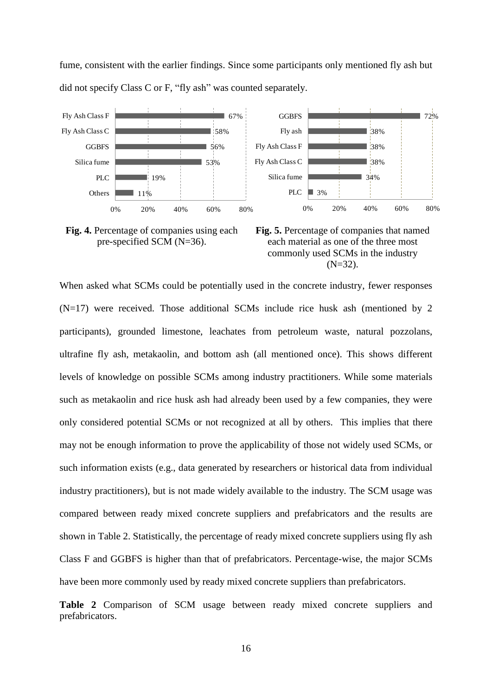fume, consistent with the earlier findings. Since some participants only mentioned fly ash but did not specify Class C or F, "fly ash" was counted separately.



**Fig. 4.** Percentage of companies using each pre-specified SCM (N=36).



When asked what SCMs could be potentially used in the concrete industry, fewer responses (N=17) were received. Those additional SCMs include rice husk ash (mentioned by 2 participants), grounded limestone, leachates from petroleum waste, natural pozzolans, ultrafine fly ash, metakaolin, and bottom ash (all mentioned once). This shows different levels of knowledge on possible SCMs among industry practitioners. While some materials such as metakaolin and rice husk ash had already been used by a few companies, they were only considered potential SCMs or not recognized at all by others. This implies that there may not be enough information to prove the applicability of those not widely used SCMs, or such information exists (e.g., data generated by researchers or historical data from individual industry practitioners), but is not made widely available to the industry. The SCM usage was compared between ready mixed concrete suppliers and prefabricators and the results are shown in Table 2. Statistically, the percentage of ready mixed concrete suppliers using fly ash Class F and GGBFS is higher than that of prefabricators. Percentage-wise, the major SCMs have been more commonly used by ready mixed concrete suppliers than prefabricators.

**Table 2** Comparison of SCM usage between ready mixed concrete suppliers and prefabricators.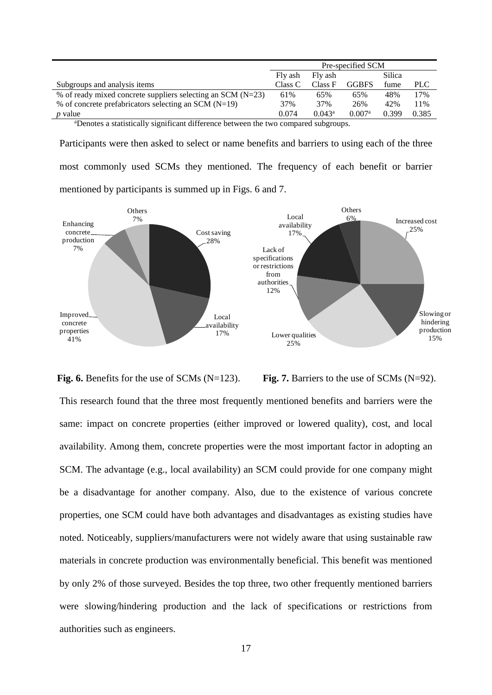|                                                             | Pre-specified SCM |           |                    |        |       |
|-------------------------------------------------------------|-------------------|-----------|--------------------|--------|-------|
|                                                             | Fly ash           | Fly ash   |                    | Silica |       |
| Subgroups and analysis items                                | Class C           | Class F   | <b>GGBFS</b>       | fume   | PLC   |
| % of ready mixed concrete suppliers selecting an SCM (N=23) | 61%               | 65%       | 65%                | 48%    | 17%   |
| % of concrete prefabricators selecting an SCM $(N=19)$      | 37%               | 37%       | 26%                | 42%    | 11%   |
| $p$ value                                                   | 0.074             | $0.043^a$ | 0.007 <sup>a</sup> | 0.399  | 0.385 |

<sup>a</sup>Denotes a statistically significant difference between the two compared subgroups.

Participants were then asked to select or name benefits and barriers to using each of the three most commonly used SCMs they mentioned. The frequency of each benefit or barrier mentioned by participants is summed up in Figs. 6 and 7.



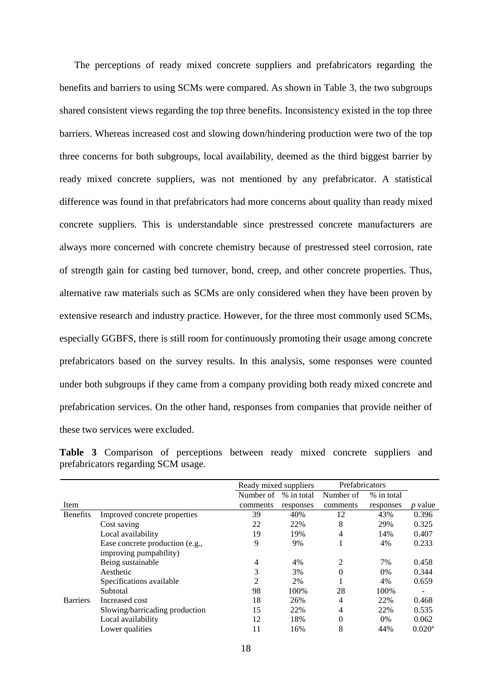The perceptions of ready mixed concrete suppliers and prefabricators regarding the benefits and barriers to using SCMs were compared. As shown in Table 3, the two subgroups shared consistent views regarding the top three benefits. Inconsistency existed in the top three barriers. Whereas increased cost and slowing down/hindering production were two of the top three concerns for both subgroups, local availability, deemed as the third biggest barrier by ready mixed concrete suppliers, was not mentioned by any prefabricator. A statistical difference was found in that prefabricators had more concerns about quality than ready mixed concrete suppliers. This is understandable since prestressed concrete manufacturers are always more concerned with concrete chemistry because of prestressed steel corrosion, rate of strength gain for casting bed turnover, bond, creep, and other concrete properties. Thus, alternative raw materials such as SCMs are only considered when they have been proven by extensive research and industry practice. However, for the three most commonly used SCMs, especially GGBFS, there is still room for continuously promoting their usage among concrete prefabricators based on the survey results. In this analysis, some responses were counted under both subgroups if they came from a company providing both ready mixed concrete and prefabrication services. On the other hand, responses from companies that provide neither of these two services were excluded.

|                 |                                 | Ready mixed suppliers |            | Prefabricators |            |                      |
|-----------------|---------------------------------|-----------------------|------------|----------------|------------|----------------------|
|                 |                                 | Number of             | % in total | Number of      | % in total |                      |
| Item            |                                 | comments              | responses  | comments       | responses  | <i>p</i> value       |
| <b>Benefits</b> | Improved concrete properties    | 39                    | 40%        | 12             | 43%        | 0.396                |
|                 | Cost saving                     | 22                    | 22%        | 8              | 29%        | 0.325                |
|                 | Local availability              | 19                    | 19%        | 4              | 14%        | 0.407                |
|                 | Ease concrete production (e.g., | 9                     | 9%         |                | 4%         | 0.233                |
|                 | improving pumpability)          |                       |            |                |            |                      |
|                 | Being sustainable               | 4                     | 4%         | 2              | 7%         | 0.458                |
|                 | Aesthetic                       | 3                     | 3%         | $\theta$       | $0\%$      | 0.344                |
|                 | Specifications available        | 2                     | 2%         |                | 4%         | 0.659                |
|                 | Subtotal                        | 98                    | 100%       | 28             | 100%       |                      |
| <b>Barriers</b> | Increased cost                  | 18                    | 26%        | 4              | 22%        | 0.468                |
|                 | Slowing/barricading production  | 15                    | 22%        | 4              | 22%        | 0.535                |
|                 | Local availability              | 12                    | 18%        | $\theta$       | 0%         | 0.062                |
|                 | Lower qualities                 | 11                    | 16%        | 8              | 44%        | $0.020$ <sup>a</sup> |
|                 |                                 |                       |            |                |            |                      |

**Table 3** Comparison of perceptions between ready mixed concrete suppliers and prefabricators regarding SCM usage.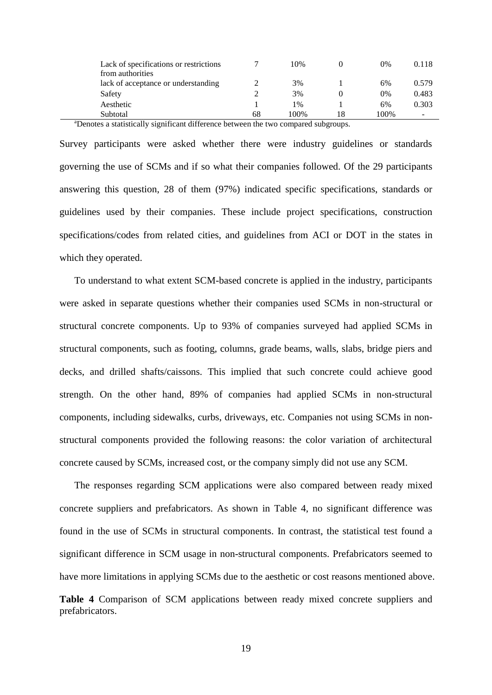| Lack of specifications or restrictions |    | 10%  | $0\%$ | 0.118 |
|----------------------------------------|----|------|-------|-------|
| from authorities                       |    |      |       |       |
| lack of acceptance or understanding    |    | 3%   | 6%    | 0.579 |
| Safety                                 |    | 3%   | $0\%$ | 0.483 |
| Aesthetic                              |    | 1%   | 6%    | 0.303 |
| Subtotal                               | 68 | 100% | 100%  | -     |

<sup>a</sup>Denotes a statistically significant difference between the two compared subgroups.

Survey participants were asked whether there were industry guidelines or standards governing the use of SCMs and if so what their companies followed. Of the 29 participants answering this question, 28 of them (97%) indicated specific specifications, standards or guidelines used by their companies. These include project specifications, construction specifications/codes from related cities, and guidelines from ACI or DOT in the states in which they operated.

To understand to what extent SCM-based concrete is applied in the industry, participants were asked in separate questions whether their companies used SCMs in non-structural or structural concrete components. Up to 93% of companies surveyed had applied SCMs in structural components, such as footing, columns, grade beams, walls, slabs, bridge piers and decks, and drilled shafts/caissons. This implied that such concrete could achieve good strength. On the other hand, 89% of companies had applied SCMs in non-structural components, including sidewalks, curbs, driveways, etc. Companies not using SCMs in nonstructural components provided the following reasons: the color variation of architectural concrete caused by SCMs, increased cost, or the company simply did not use any SCM.

The responses regarding SCM applications were also compared between ready mixed concrete suppliers and prefabricators. As shown in Table 4, no significant difference was found in the use of SCMs in structural components. In contrast, the statistical test found a significant difference in SCM usage in non-structural components. Prefabricators seemed to have more limitations in applying SCMs due to the aesthetic or cost reasons mentioned above.

**Table 4** Comparison of SCM applications between ready mixed concrete suppliers and prefabricators.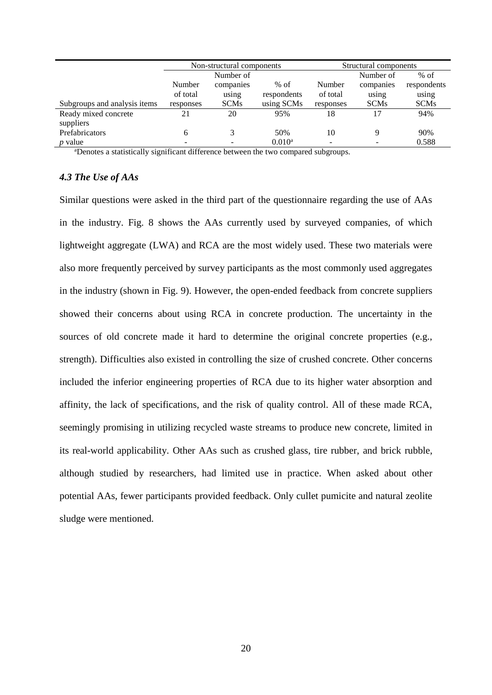|                              |           | Non-structural components |             | Structural components |             |             |  |
|------------------------------|-----------|---------------------------|-------------|-----------------------|-------------|-------------|--|
|                              |           | Number of                 |             |                       | Number of   | $%$ of      |  |
|                              | Number    | companies                 | % of        | Number                | companies   | respondents |  |
|                              | of total  | using                     | respondents | of total              | using       | using       |  |
| Subgroups and analysis items | responses | <b>SCMs</b>               | using SCMs  | responses             | <b>SCMs</b> | <b>SCMs</b> |  |
| Ready mixed concrete         | 21        | 20                        | 95%         | 18                    |             | 94%         |  |
| suppliers                    |           |                           |             |                       |             |             |  |
| Prefabricators               | 6         |                           | 50%         | 10                    |             | 90%         |  |
| <i>p</i> value               |           |                           | $0.010^{a}$ |                       |             | 0.588       |  |

<sup>a</sup>Denotes a statistically significant difference between the two compared subgroups.

## *4.3 The Use of AAs*

Similar questions were asked in the third part of the questionnaire regarding the use of AAs in the industry. Fig. 8 shows the AAs currently used by surveyed companies, of which lightweight aggregate (LWA) and RCA are the most widely used. These two materials were also more frequently perceived by survey participants as the most commonly used aggregates in the industry (shown in Fig. 9). However, the open-ended feedback from concrete suppliers showed their concerns about using RCA in concrete production. The uncertainty in the sources of old concrete made it hard to determine the original concrete properties (e.g., strength). Difficulties also existed in controlling the size of crushed concrete. Other concerns included the inferior engineering properties of RCA due to its higher water absorption and affinity, the lack of specifications, and the risk of quality control. All of these made RCA, seemingly promising in utilizing recycled waste streams to produce new concrete, limited in its real-world applicability. Other AAs such as crushed glass, tire rubber, and brick rubble, although studied by researchers, had limited use in practice. When asked about other potential AAs, fewer participants provided feedback. Only cullet pumicite and natural zeolite sludge were mentioned.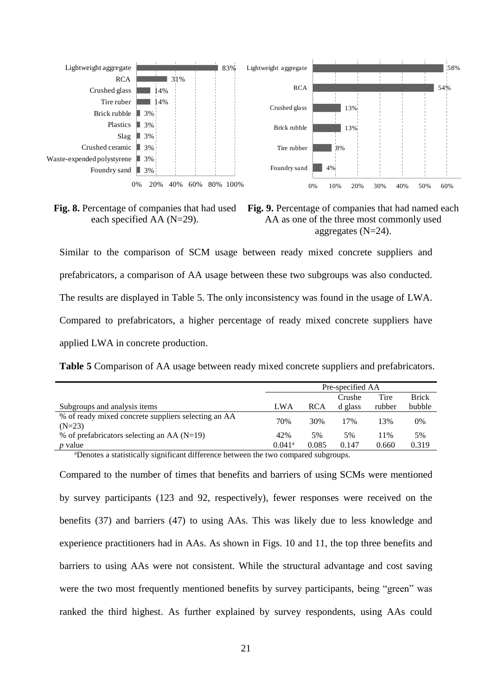





Similar to the comparison of SCM usage between ready mixed concrete suppliers and prefabricators, a comparison of AA usage between these two subgroups was also conducted. The results are displayed in Table 5. The only inconsistency was found in the usage of LWA. Compared to prefabricators, a higher percentage of ready mixed concrete suppliers have applied LWA in concrete production.

**Table 5** Comparison of AA usage between ready mixed concrete suppliers and prefabricators.

|                                                          | Pre-specified AA     |            |         |        |              |  |  |
|----------------------------------------------------------|----------------------|------------|---------|--------|--------------|--|--|
|                                                          |                      |            | Crushe  | Tire   | <b>Brick</b> |  |  |
| Subgroups and analysis items                             | LWA                  | <b>RCA</b> | d glass | rubber | bubble       |  |  |
| % of ready mixed concrete suppliers selecting an AA      | 70%                  | 30%        | 17%     | 13%    | 0%           |  |  |
| $(N=23)$<br>% of prefabricators selecting an AA $(N=19)$ | 42%                  | 5%         | 5%      | 11%    | 5%           |  |  |
| <i>p</i> value                                           | $0.041$ <sup>a</sup> | 0.085      | 0.147   | 0.660  | 0.319        |  |  |

<sup>a</sup>Denotes a statistically significant difference between the two compared subgroups.

Compared to the number of times that benefits and barriers of using SCMs were mentioned by survey participants (123 and 92, respectively), fewer responses were received on the benefits (37) and barriers (47) to using AAs. This was likely due to less knowledge and experience practitioners had in AAs. As shown in Figs. 10 and 11, the top three benefits and barriers to using AAs were not consistent. While the structural advantage and cost saving were the two most frequently mentioned benefits by survey participants, being "green" was ranked the third highest. As further explained by survey respondents, using AAs could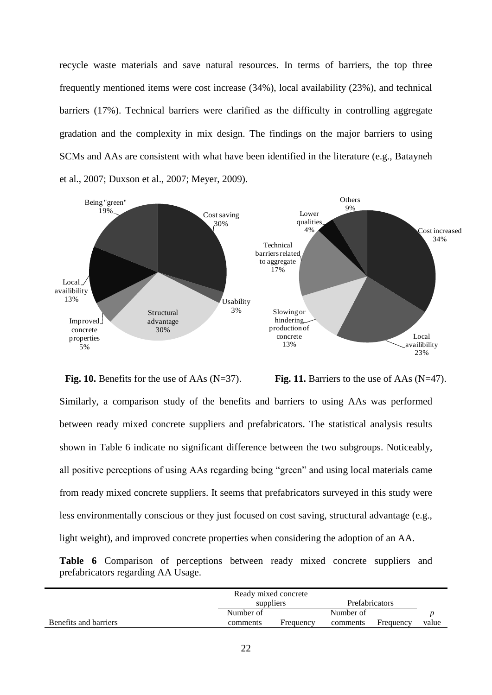recycle waste materials and save natural resources. In terms of barriers, the top three frequently mentioned items were cost increase (34%), local availability (23%), and technical barriers (17%). Technical barriers were clarified as the difficulty in controlling aggregate gradation and the complexity in mix design. The findings on the major barriers to using SCMs and AAs are consistent with what have been identified in the literature (e.g., Batayneh et al., 2007; Duxson et al., 2007; Meyer, 2009).





Similarly, a comparison study of the benefits and barriers to using AAs was performed between ready mixed concrete suppliers and prefabricators. The statistical analysis results shown in Table 6 indicate no significant difference between the two subgroups. Noticeably, all positive perceptions of using AAs regarding being "green" and using local materials came from ready mixed concrete suppliers. It seems that prefabricators surveyed in this study were less environmentally conscious or they just focused on cost saving, structural advantage (e.g., light weight), and improved concrete properties when considering the adoption of an AA.

|  | Table 6 Comparison of perceptions between ready mixed concrete suppliers and |  |  |  |  |
|--|------------------------------------------------------------------------------|--|--|--|--|
|  | prefabricators regarding AA Usage.                                           |  |  |  |  |

|                       | Ready mixed concrete |           |                       |           |       |  |  |
|-----------------------|----------------------|-----------|-----------------------|-----------|-------|--|--|
|                       | suppliers            |           | <b>Prefabricators</b> |           |       |  |  |
|                       | Number of            |           | Number of             |           |       |  |  |
| Benefits and barriers | comments             | Frequency | comments              | Frequency | value |  |  |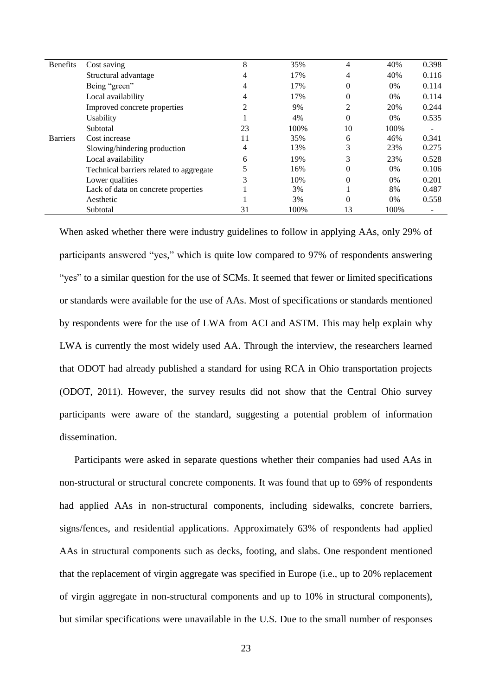| <b>Benefits</b> | Cost saving                             | 8  | 35%  | 4        | 40%   | 0.398 |
|-----------------|-----------------------------------------|----|------|----------|-------|-------|
|                 | Structural advantage                    | 4  | 17%  | 4        | 40%   | 0.116 |
|                 | Being "green"                           | 4  | 17%  | 0        | 0%    | 0.114 |
|                 | Local availability                      | 4  | 17%  | $\theta$ | $0\%$ | 0.114 |
|                 | Improved concrete properties            |    | 9%   | 2        | 20%   | 0.244 |
|                 | Usability                               |    | 4%   | $\theta$ | $0\%$ | 0.535 |
|                 | Subtotal                                | 23 | 100% | 10       | 100%  |       |
| <b>Barriers</b> | Cost increase                           | 11 | 35%  | 6        | 46%   | 0.341 |
|                 | Slowing/hindering production            | 4  | 13%  | 3        | 23%   | 0.275 |
|                 | Local availability                      | 6  | 19%  | 3        | 23%   | 0.528 |
|                 | Technical barriers related to aggregate |    | 16%  | $\theta$ | 0%    | 0.106 |
|                 | Lower qualities                         |    | 10%  | $\theta$ | 0%    | 0.201 |
|                 | Lack of data on concrete properties     |    | 3%   |          | 8%    | 0.487 |
|                 | Aesthetic                               |    | 3%   | 0        | 0%    | 0.558 |
|                 | Subtotal                                | 31 | 100% | 13       | 100%  |       |

When asked whether there were industry guidelines to follow in applying AAs, only 29% of participants answered "yes," which is quite low compared to 97% of respondents answering "yes" to a similar question for the use of SCMs. It seemed that fewer or limited specifications or standards were available for the use of AAs. Most of specifications or standards mentioned by respondents were for the use of LWA from ACI and ASTM. This may help explain why LWA is currently the most widely used AA. Through the interview, the researchers learned that ODOT had already published a standard for using RCA in Ohio transportation projects (ODOT, 2011). However, the survey results did not show that the Central Ohio survey participants were aware of the standard, suggesting a potential problem of information dissemination.

Participants were asked in separate questions whether their companies had used AAs in non-structural or structural concrete components. It was found that up to 69% of respondents had applied AAs in non-structural components, including sidewalks, concrete barriers, signs/fences, and residential applications. Approximately 63% of respondents had applied AAs in structural components such as decks, footing, and slabs. One respondent mentioned that the replacement of virgin aggregate was specified in Europe (i.e., up to 20% replacement of virgin aggregate in non-structural components and up to 10% in structural components), but similar specifications were unavailable in the U.S. Due to the small number of responses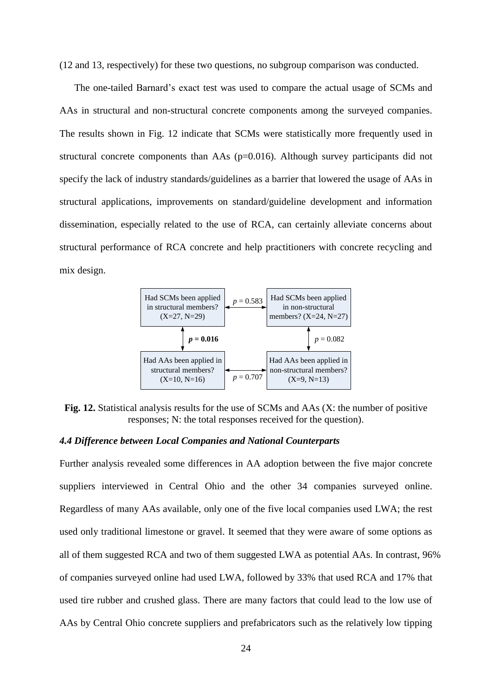(12 and 13, respectively) for these two questions, no subgroup comparison was conducted.

The one-tailed Barnard's exact test was used to compare the actual usage of SCMs and AAs in structural and non-structural concrete components among the surveyed companies. The results shown in Fig. 12 indicate that SCMs were statistically more frequently used in structural concrete components than AAs (p=0.016). Although survey participants did not specify the lack of industry standards/guidelines as a barrier that lowered the usage of AAs in structural applications, improvements on standard/guideline development and information dissemination, especially related to the use of RCA, can certainly alleviate concerns about structural performance of RCA concrete and help practitioners with concrete recycling and mix design.



**Fig. 12.** Statistical analysis results for the use of SCMs and AAs (X: the number of positive responses; N: the total responses received for the question).

## *4.4 Difference between Local Companies and National Counterparts*

Further analysis revealed some differences in AA adoption between the five major concrete suppliers interviewed in Central Ohio and the other 34 companies surveyed online. Regardless of many AAs available, only one of the five local companies used LWA; the rest used only traditional limestone or gravel. It seemed that they were aware of some options as all of them suggested RCA and two of them suggested LWA as potential AAs. In contrast, 96% of companies surveyed online had used LWA, followed by 33% that used RCA and 17% that used tire rubber and crushed glass. There are many factors that could lead to the low use of AAs by Central Ohio concrete suppliers and prefabricators such as the relatively low tipping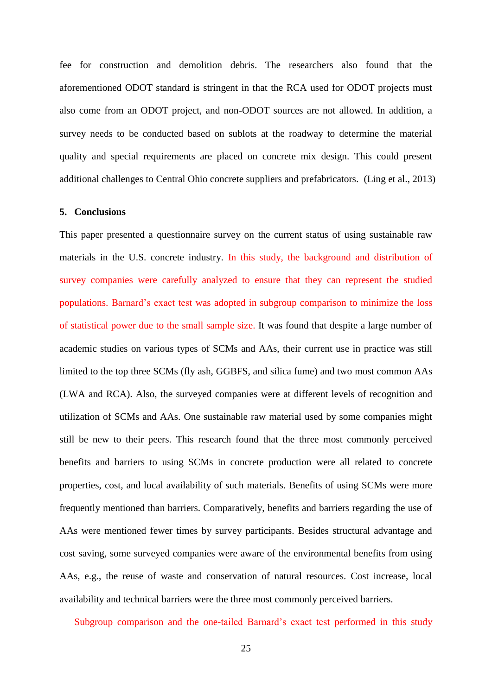fee for construction and demolition debris. The researchers also found that the aforementioned ODOT standard is stringent in that the RCA used for ODOT projects must also come from an ODOT project, and non-ODOT sources are not allowed. In addition, a survey needs to be conducted based on sublots at the roadway to determine the material quality and special requirements are placed on concrete mix design. This could present additional challenges to Central Ohio concrete suppliers and prefabricators. (Ling et al., 2013)

## **5. Conclusions**

This paper presented a questionnaire survey on the current status of using sustainable raw materials in the U.S. concrete industry. In this study, the background and distribution of survey companies were carefully analyzed to ensure that they can represent the studied populations. Barnard's exact test was adopted in subgroup comparison to minimize the loss of statistical power due to the small sample size. It was found that despite a large number of academic studies on various types of SCMs and AAs, their current use in practice was still limited to the top three SCMs (fly ash, GGBFS, and silica fume) and two most common AAs (LWA and RCA). Also, the surveyed companies were at different levels of recognition and utilization of SCMs and AAs. One sustainable raw material used by some companies might still be new to their peers. This research found that the three most commonly perceived benefits and barriers to using SCMs in concrete production were all related to concrete properties, cost, and local availability of such materials. Benefits of using SCMs were more frequently mentioned than barriers. Comparatively, benefits and barriers regarding the use of AAs were mentioned fewer times by survey participants. Besides structural advantage and cost saving, some surveyed companies were aware of the environmental benefits from using AAs, e.g., the reuse of waste and conservation of natural resources. Cost increase, local availability and technical barriers were the three most commonly perceived barriers.

Subgroup comparison and the one-tailed Barnard's exact test performed in this study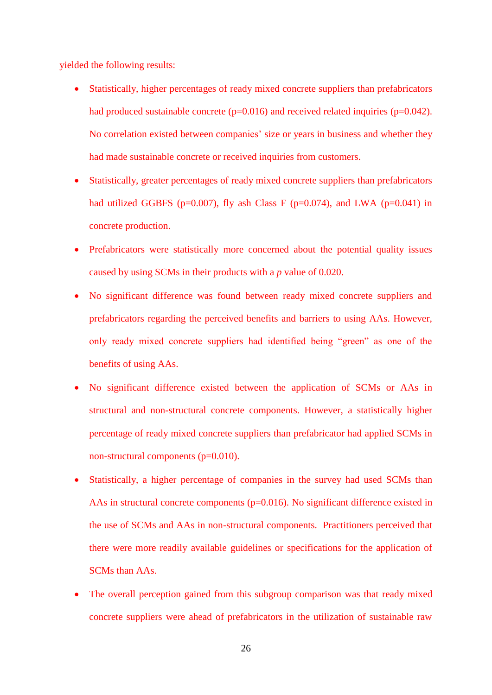yielded the following results:

- Statistically, higher percentages of ready mixed concrete suppliers than prefabricators had produced sustainable concrete  $(p=0.016)$  and received related inquiries  $(p=0.042)$ . No correlation existed between companies' size or years in business and whether they had made sustainable concrete or received inquiries from customers.
- Statistically, greater percentages of ready mixed concrete suppliers than prefabricators had utilized GGBFS (p=0.007), fly ash Class F (p=0.074), and LWA (p=0.041) in concrete production.
- Prefabricators were statistically more concerned about the potential quality issues caused by using SCMs in their products with a *p* value of 0.020.
- No significant difference was found between ready mixed concrete suppliers and prefabricators regarding the perceived benefits and barriers to using AAs. However, only ready mixed concrete suppliers had identified being "green" as one of the benefits of using AAs.
- No significant difference existed between the application of SCMs or AAs in structural and non-structural concrete components. However, a statistically higher percentage of ready mixed concrete suppliers than prefabricator had applied SCMs in non-structural components (p=0.010).
- Statistically, a higher percentage of companies in the survey had used SCMs than AAs in structural concrete components  $(p=0.016)$ . No significant difference existed in the use of SCMs and AAs in non-structural components. Practitioners perceived that there were more readily available guidelines or specifications for the application of SCMs than AAs.
- The overall perception gained from this subgroup comparison was that ready mixed concrete suppliers were ahead of prefabricators in the utilization of sustainable raw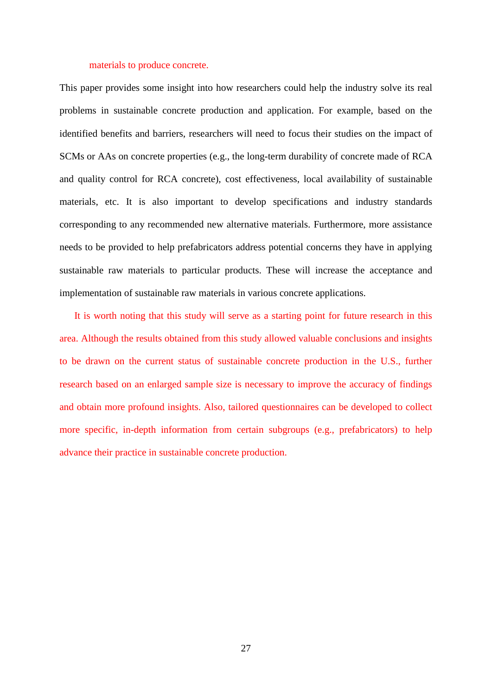#### materials to produce concrete.

This paper provides some insight into how researchers could help the industry solve its real problems in sustainable concrete production and application. For example, based on the identified benefits and barriers, researchers will need to focus their studies on the impact of SCMs or AAs on concrete properties (e.g., the long-term durability of concrete made of RCA and quality control for RCA concrete), cost effectiveness, local availability of sustainable materials, etc. It is also important to develop specifications and industry standards corresponding to any recommended new alternative materials. Furthermore, more assistance needs to be provided to help prefabricators address potential concerns they have in applying sustainable raw materials to particular products. These will increase the acceptance and implementation of sustainable raw materials in various concrete applications.

It is worth noting that this study will serve as a starting point for future research in this area. Although the results obtained from this study allowed valuable conclusions and insights to be drawn on the current status of sustainable concrete production in the U.S., further research based on an enlarged sample size is necessary to improve the accuracy of findings and obtain more profound insights. Also, tailored questionnaires can be developed to collect more specific, in-depth information from certain subgroups (e.g., prefabricators) to help advance their practice in sustainable concrete production.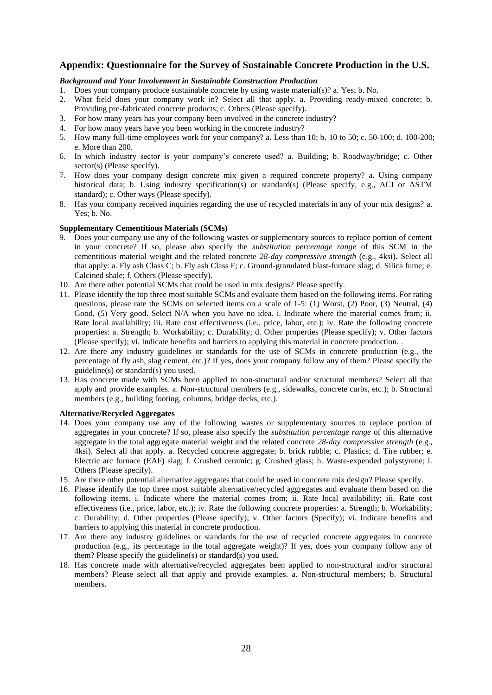# **Appendix: Questionnaire for the Survey of Sustainable Concrete Production in the U.S.**

#### *Background and Your Involvement in Sustainable Construction Production*

- 1. Does your company produce sustainable concrete by using waste material(s)? a. Yes; b. No.
- 2. What field does your company work in? Select all that apply. a. Providing ready-mixed concrete; b. Providing pre-fabricated concrete products; c. Others (Please specify).
- 3. For how many years has your company been involved in the concrete industry?
- 4. For how many years have you been working in the concrete industry?
- 5. How many full-time employees work for your company? a. Less than 10; b. 10 to 50; c. 50-100; d. 100-200; e. More than 200.
- 6. In which industry sector is your company's concrete used? a. Building; b. Roadway/bridge; c. Other sector(s) (Please specify).
- 7. How does your company design concrete mix given a required concrete property? a. Using company historical data; b. Using industry specification(s) or standard(s) (Please specify, e.g., ACI or ASTM standard); c. Other ways (Please specify).
- 8. Has your company received inquiries regarding the use of recycled materials in any of your mix designs? a. Yes; b. No.

#### **Supplementary Cementitious Materials (SCMs)**

- 9. Does your company use any of the following wastes or supplementary sources to replace portion of cement in your concrete? If so, please also specify the *substitution percentage range* of this SCM in the cementitious material weight and the related concrete *28-day compressive strength* (e.g., 4ksi)**.** Select all that apply: a. Fly ash Class C; b. Fly ash Class F; c. Ground-granulated blast-furnace slag; d. Silica fume; e. Calcined shale; f. Others (Please specify).
- 10. Are there other potential SCMs that could be used in mix designs? Please specify.
- 11. Please identify the top three most suitable SCMs and evaluate them based on the following items. For rating questions, please rate the SCMs on selected items on a scale of 1-5: (1) Worst, (2) Poor, (3) Neutral, (4) Good,  $(5)$  Very good. Select N/A when you have no idea. i. Indicate where the material comes from; ii. Rate local availability; iii. Rate cost effectiveness (i.e., price, labor, etc.); iv. Rate the following concrete properties: a. Strength; b. Workability; c. Durability; d. Other properties (Please specify); v. Other factors (Please specify); vi. Indicate benefits and barriers to applying this material in concrete production. .
- 12. Are there any industry guidelines or standards for the use of SCMs in concrete production (e.g., the percentage of fly ash, slag cement, etc.)? If yes, does your company follow any of them? Please specify the guideline(s) or standard(s) you used.
- 13. Has concrete made with SCMs been applied to non-structural and/or structural members? Select all that apply and provide examples. a. Non-structural members (e.g., sidewalks, concrete curbs, etc.); b. Structural members (e.g., building footing, columns, bridge decks, etc.).

#### **Alternative/Recycled Aggregates**

- 14. Does your company use any of the following wastes or supplementary sources to replace portion of aggregates in your concrete? If so, please also specify the *substitution percentage range* of this alternative aggregate in the total aggregate material weight and the related concrete *28-day compressive strength* (e.g., 4ksi). Select all that apply. a. Recycled concrete aggregate; b. brick rubble; c. Plastics; d. Tire rubber; e. Electric arc furnace (EAF) slag; f. Crushed ceramic; g. Crushed glass; h. Waste-expended polystyrene; i. Others (Please specify).
- 15. Are there other potential alternative aggregates that could be used in concrete mix design? Please specify.
- 16. Please identify the top three most suitable alternative/recycled aggregates and evaluate them based on the following items. i. Indicate where the material comes from; ii. Rate local availability; iii. Rate cost effectiveness (i.e., price, labor, etc.); iv. Rate the following concrete properties: a. Strength; b. Workability; c. Durability; d. Other properties (Please specify); v. Other factors (Specify); vi. Indicate benefits and barriers to applying this material in concrete production.
- 17. Are there any industry guidelines or standards for the use of recycled concrete aggregates in concrete production (e.g., its percentage in the total aggregate weight)? If yes, does your company follow any of them? Please specify the guideline(s) or standard(s) you used.
- 18. Has concrete made with alternative/recycled aggregates been applied to non-structural and/or structural members? Please select all that apply and provide examples. a. Non-structural members; b. Structural members.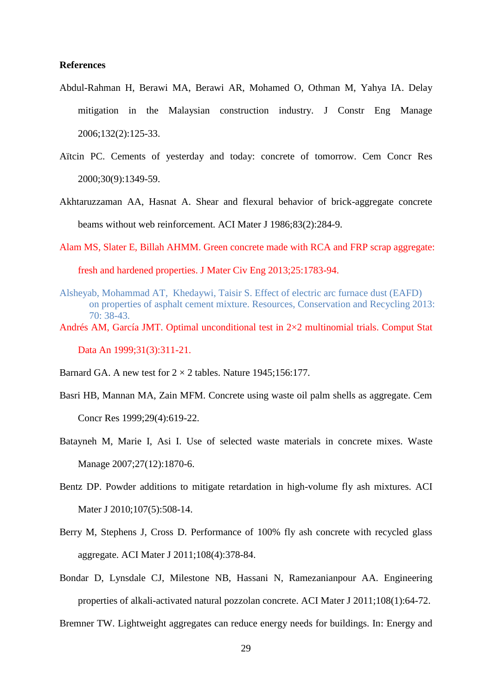## **References**

- Abdul-Rahman H, Berawi MA, Berawi AR, Mohamed O, Othman M, Yahya IA. Delay mitigation in the Malaysian construction industry. J Constr Eng Manage 2006;132(2):125-33.
- Aïtcin PC. Cements of yesterday and today: concrete of tomorrow. Cem Concr Res 2000;30(9):1349-59.
- Akhtaruzzaman AA, Hasnat A. Shear and flexural behavior of brick-aggregate concrete beams without web reinforcement. ACI Mater J 1986;83(2):284-9.
- Alam MS, Slater E, Billah AHMM. Green concrete made with RCA and FRP scrap aggregate:

fresh and hardened properties. J Mater Civ Eng 2013;25:1783-94.

- Alsheyab, Mohammad AT, Khedaywi, Taisir S. Effect of electric arc furnace dust (EAFD) on properties of asphalt cement mixture. Resources, Conservation and Recycling 2013:  $70.38 - 43$
- Andrés AM, García JMT. Optimal unconditional test in 2×2 multinomial trials. Comput Stat

Data An 1999;31(3):311-21.

Barnard GA. A new test for  $2 \times 2$  tables. Nature 1945:156:177.

- Basri HB, Mannan MA, Zain MFM. Concrete using waste oil palm shells as aggregate. Cem Concr Res 1999;29(4):619-22.
- Batayneh M, Marie I, Asi I. Use of selected waste materials in concrete mixes. Waste Manage 2007;27(12):1870-6.
- Bentz DP. Powder additions to mitigate retardation in high-volume fly ash mixtures. ACI Mater J 2010:107(5):508-14.
- Berry M, Stephens J, Cross D. Performance of 100% fly ash concrete with recycled glass aggregate. ACI Mater J 2011;108(4):378-84.
- Bondar D, Lynsdale CJ, Milestone NB, Hassani N, Ramezanianpour AA. Engineering properties of alkali-activated natural pozzolan concrete. ACI Mater J 2011;108(1):64-72.

Bremner TW. Lightweight aggregates can reduce energy needs for buildings. In: Energy and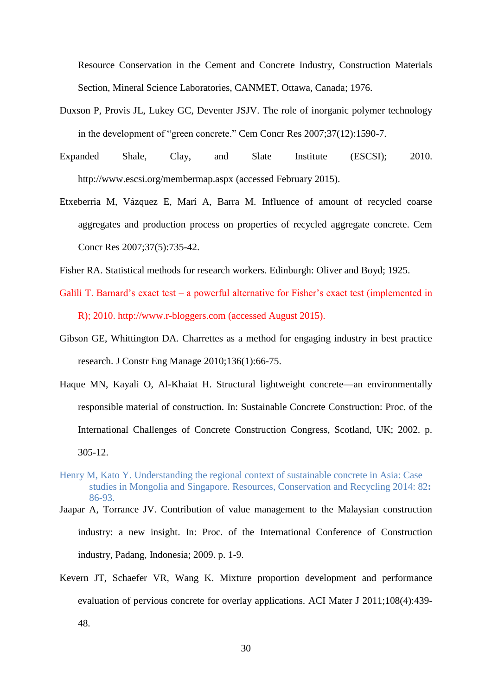Resource Conservation in the Cement and Concrete Industry, Construction Materials Section, Mineral Science Laboratories, CANMET, Ottawa, Canada; 1976.

- Duxson P, Provis JL, Lukey GC, Deventer JSJV. The role of inorganic polymer technology in the development of "green concrete." Cem Concr Res 2007;37(12):1590-7.
- Expanded Shale, Clay, and Slate Institute (ESCSI); 2010. http://www.escsi.org/membermap.aspx (accessed February 2015).
- Etxeberria M, Vázquez E, Marí A, Barra M. Influence of amount of recycled coarse aggregates and production process on properties of recycled aggregate concrete. Cem Concr Res 2007;37(5):735-42.

Fisher RA. Statistical methods for research workers. Edinburgh: Oliver and Boyd; 1925.

- Galili T. Barnard's exact test a powerful alternative for Fisher's exact test (implemented in R); 2010. http://www.r-bloggers.com (accessed August 2015).
- Gibson GE, Whittington DA. Charrettes as a method for engaging industry in best practice research. J Constr Eng Manage 2010;136(1):66-75.
- Haque MN, Kayali O, Al-Khaiat H. Structural lightweight concrete—an environmentally responsible material of construction. In: Sustainable Concrete Construction: Proc. of the International Challenges of Concrete Construction Congress, Scotland, UK; 2002. p. 305-12.
- Henry M, Kato Y. Understanding the regional context of sustainable concrete in Asia: Case studies in Mongolia and Singapore. Resources, Conservation and Recycling 2014: 82**:** 86-93.
- Jaapar A, Torrance JV. Contribution of value management to the Malaysian construction industry: a new insight. In: Proc. of the International Conference of Construction industry, Padang, Indonesia; 2009. p. 1-9.
- Kevern JT, Schaefer VR, Wang K. Mixture proportion development and performance evaluation of pervious concrete for overlay applications. ACI Mater J 2011;108(4):439- 48.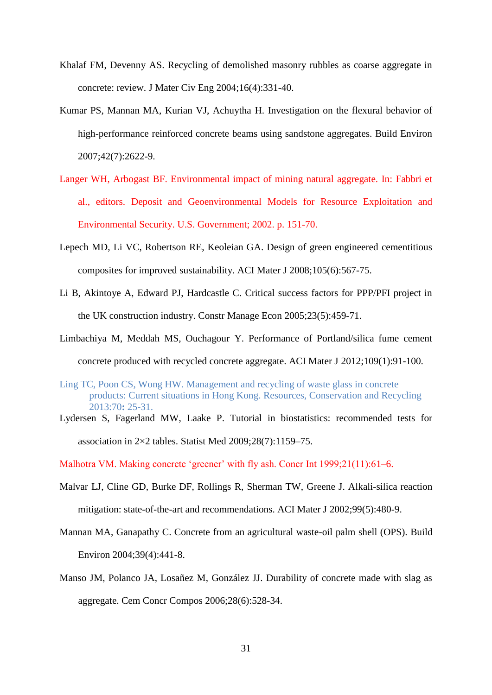- Khalaf FM, Devenny AS. Recycling of demolished masonry rubbles as coarse aggregate in concrete: review. J Mater Civ Eng 2004;16(4):331-40.
- Kumar PS, Mannan MA, Kurian VJ, Achuytha H. Investigation on the flexural behavior of high-performance reinforced concrete beams using sandstone aggregates. Build Environ 2007;42(7):2622-9.
- Langer WH, Arbogast BF. Environmental impact of mining natural aggregate. In: Fabbri et al., editors. Deposit and Geoenvironmental Models for Resource Exploitation and Environmental Security. U.S. Government; 2002. p. 151-70.
- Lepech MD, Li VC, Robertson RE, Keoleian GA. Design of green engineered cementitious composites for improved sustainability. ACI Mater J 2008;105(6):567-75.
- Li B, Akintoye A, Edward PJ, Hardcastle C. Critical success factors for PPP/PFI project in the UK construction industry. Constr Manage Econ 2005;23(5):459-71.
- Limbachiya M, Meddah MS, Ouchagour Y. Performance of Portland/silica fume cement concrete produced with recycled concrete aggregate. ACI Mater J 2012;109(1):91-100.
- <span id="page-30-0"></span>Ling TC, Poon CS, Wong HW. Management and recycling of waste glass in concrete products: Current situations in Hong Kong. Resources, Conservation and Recycling 2013:70**:** 25-31.
- Lydersen S, Fagerland MW, Laake P. Tutorial in biostatistics: recommended tests for association in 2×2 tables. Statist Med 2009;28(7):1159–75.
- Malhotra VM. Making concrete 'greener' with fly ash. Concr Int 1999;21(11):61–6.
- Malvar LJ, Cline GD, Burke DF, Rollings R, Sherman TW, Greene J. Alkali-silica reaction mitigation: state-of-the-art and recommendations. ACI Mater J 2002;99(5):480-9.
- Mannan MA, Ganapathy C. Concrete from an agricultural waste-oil palm shell (OPS). Build Environ 2004;39(4):441-8.
- Manso JM, Polanco JA, Losañez M, González JJ. Durability of concrete made with slag as aggregate. Cem Concr Compos 2006;28(6):528-34.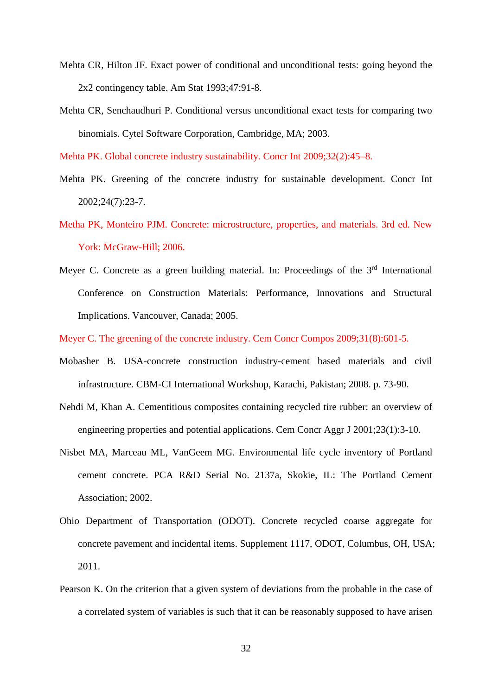- Mehta CR, Hilton JF. Exact power of conditional and unconditional tests: going beyond the 2x2 contingency table. Am Stat 1993;47:91-8.
- Mehta CR, Senchaudhuri P. Conditional versus unconditional exact tests for comparing two binomials. Cytel Software Corporation, Cambridge, MA; 2003.

Mehta PK. Global concrete industry sustainability. Concr Int 2009;32(2):45–8.

- Mehta PK. Greening of the concrete industry for sustainable development. Concr Int 2002;24(7):23-7.
- Metha PK, Monteiro PJM. Concrete: microstructure, properties, and materials. 3rd ed. New York: McGraw-Hill; 2006.
- Meyer C. Concrete as a green building material. In: Proceedings of the 3<sup>rd</sup> International Conference on Construction Materials: Performance, Innovations and Structural Implications. Vancouver, Canada; 2005.

Meyer C. The greening of the concrete industry. Cem Concr Compos 2009;31(8):601-5.

- Mobasher B. USA-concrete construction industry-cement based materials and civil infrastructure. CBM-CI International Workshop, Karachi, Pakistan; 2008. p. 73-90.
- Nehdi M, Khan A. Cementitious composites containing recycled tire rubber: an overview of engineering properties and potential applications. Cem Concr Aggr J 2001;23(1):3-10.
- Nisbet MA, Marceau ML, VanGeem MG. Environmental life cycle inventory of Portland cement concrete. PCA R&D Serial No. 2137a, Skokie, IL: The Portland Cement Association; 2002.
- Ohio Department of Transportation (ODOT). Concrete recycled coarse aggregate for concrete pavement and incidental items. Supplement 1117, ODOT, Columbus, OH, USA; 2011.
- Pearson K. On the criterion that a given system of deviations from the probable in the case of a correlated system of variables is such that it can be reasonably supposed to have arisen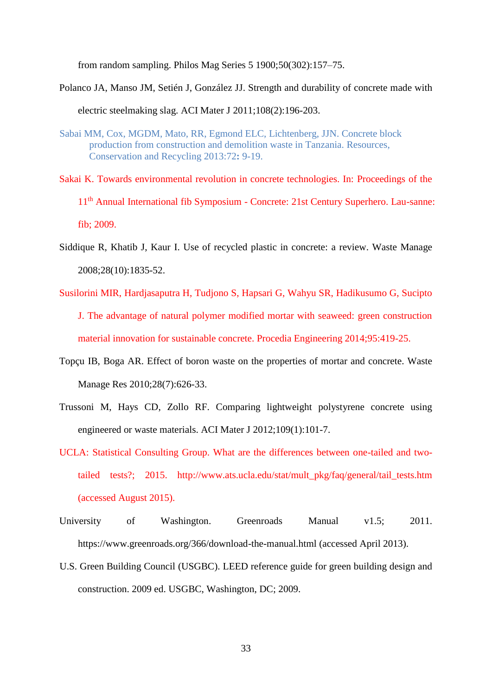from random sampling. Philos Mag Series 5 1900;50(302):157–75.

- Polanco JA, Manso JM, Setién J, González JJ. Strength and durability of concrete made with electric steelmaking slag. ACI Mater J 2011;108(2):196-203.
- Sabai MM, Cox, MGDM, Mato, RR, Egmond ELC, Lichtenberg, JJN. Concrete block production from construction and demolition waste in Tanzania. Resources, Conservation and Recycling 2013:72**:** 9-19.
- Sakai K. Towards environmental revolution in concrete technologies. In: Proceedings of the 11th Annual International fib Symposium - Concrete: 21st Century Superhero. Lau-sanne: fib; 2009.
- Siddique R, Khatib J, Kaur I. Use of recycled plastic in concrete: a review. Waste Manage 2008;28(10):1835-52.
- Susilorini MIR, Hardjasaputra H, Tudjono S, Hapsari G, Wahyu SR, Hadikusumo G, Sucipto J. The advantage of natural polymer modified mortar with seaweed: green construction material innovation for sustainable concrete. Procedia Engineering 2014;95:419-25.
- Topçu IB, Boga AR. Effect of boron waste on the properties of mortar and concrete. Waste Manage Res 2010;28(7):626-33.
- Trussoni M, Hays CD, Zollo RF. Comparing lightweight polystyrene concrete using engineered or waste materials. ACI Mater J 2012;109(1):101-7.
- UCLA: Statistical Consulting Group. What are the differences between one-tailed and twotailed tests?; 2015. http://www.ats.ucla.edu/stat/mult\_pkg/faq/general/tail\_tests.htm (accessed August 2015).
- University of Washington. Greenroads Manual v1.5; 2011. https://www.greenroads.org/366/download-the-manual.html (accessed April 2013).
- U.S. Green Building Council (USGBC). LEED reference guide for green building design and construction. 2009 ed. USGBC, Washington, DC; 2009.